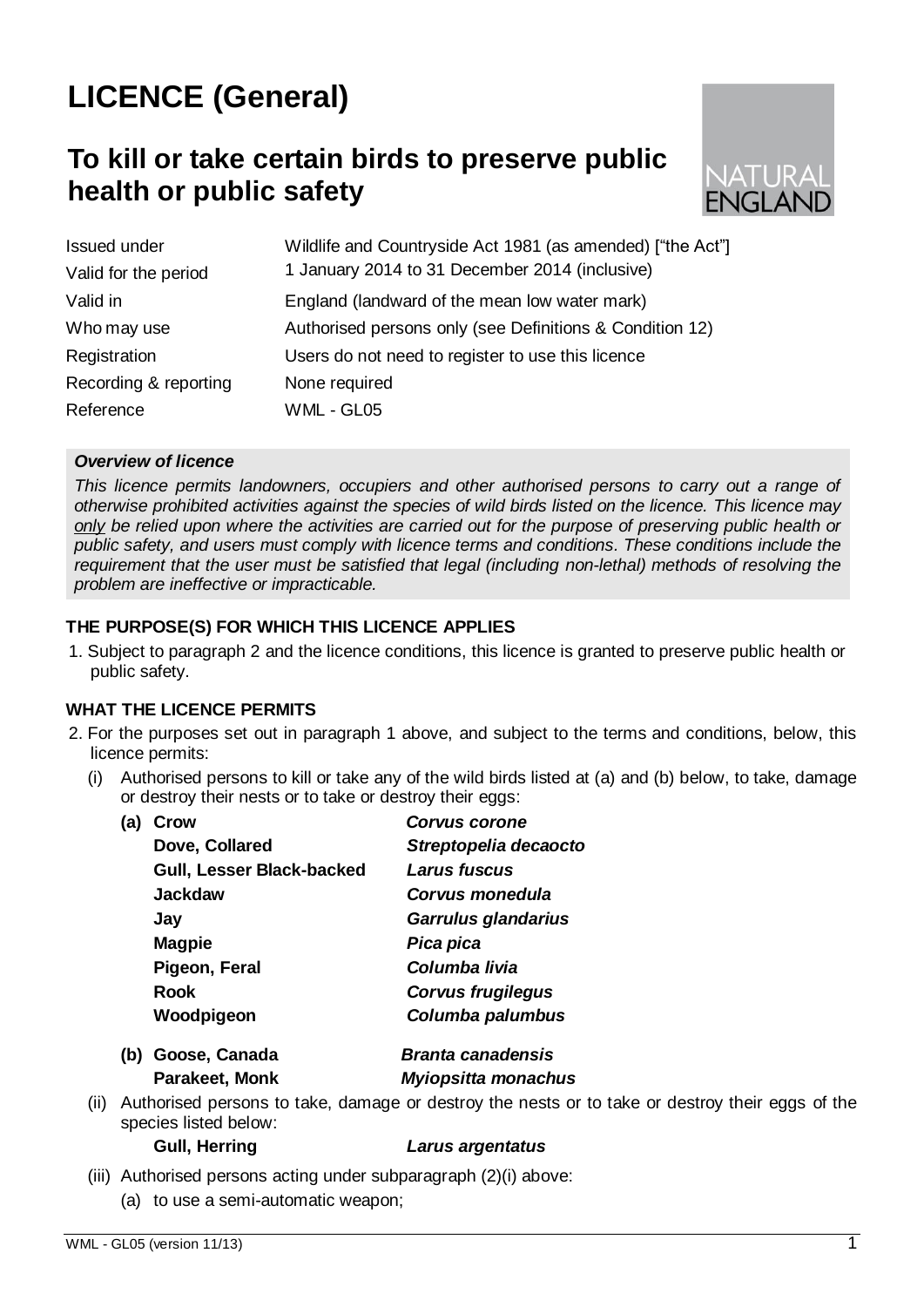# **LICENCE (General)**

## **To kill or take certain birds to preserve public health or public safety**



| <b>Issued under</b>   | Wildlife and Countryside Act 1981 (as amended) ["the Act"] |  |
|-----------------------|------------------------------------------------------------|--|
| Valid for the period  | 1 January 2014 to 31 December 2014 (inclusive)             |  |
| Valid in              | England (landward of the mean low water mark)              |  |
| Who may use           | Authorised persons only (see Definitions & Condition 12)   |  |
| Registration          | Users do not need to register to use this licence          |  |
| Recording & reporting | None required                                              |  |
| Reference             | WML - GL05                                                 |  |

#### *Overview of licence*

*This licence permits landowners, occupiers and other authorised persons to carry out a range of otherwise prohibited activities against the species of wild birds listed on the licence. This licence may only be relied upon where the activities are carried out for the purpose of preserving public health or public safety, and users must comply with licence terms and conditions. These conditions include the requirement that the user must be satisfied that legal (including non-lethal) methods of resolving the problem are ineffective or impracticable.*

#### **THE PURPOSE(S) FOR WHICH THIS LICENCE APPLIES**

1. Subject to paragraph 2 and the licence conditions, this licence is granted to preserve public health or public safety.

#### **WHAT THE LICENCE PERMITS**

- 2. For the purposes set out in paragraph 1 above, and subject to the terms and conditions, below, this licence permits:
	- (i) Authorised persons to kill or take any of the wild birds listed at (a) and (b) below, to take, damage or destroy their nests or to take or destroy their eggs:

| (a) | Crow                             | <b>Corvus corone</b>     |
|-----|----------------------------------|--------------------------|
|     | Dove, Collared                   | Streptopelia decaocto    |
|     | <b>Gull, Lesser Black-backed</b> | Larus fuscus             |
|     | <b>Jackdaw</b>                   | Corvus monedula          |
|     | Jay                              | Garrulus glandarius      |
|     | <b>Magpie</b>                    | Pica pica                |
|     | Pigeon, Feral                    | Columba livia            |
|     | Rook                             | <b>Corvus frugilegus</b> |
|     | Woodpigeon                       | Columba palumbus         |
|     |                                  |                          |

- **(b) Goose, Canada** *Branta canadensis* **Parakeet, Monk** *Myiopsitta monachus*
- (ii) Authorised persons to take, damage or destroy the nests or to take or destroy their eggs of the species listed below:

#### **Gull, Herring** *Larus argentatus*

- (iii) Authorised persons acting under subparagraph (2)(i) above:
	- (a) to use a semi-automatic weapon;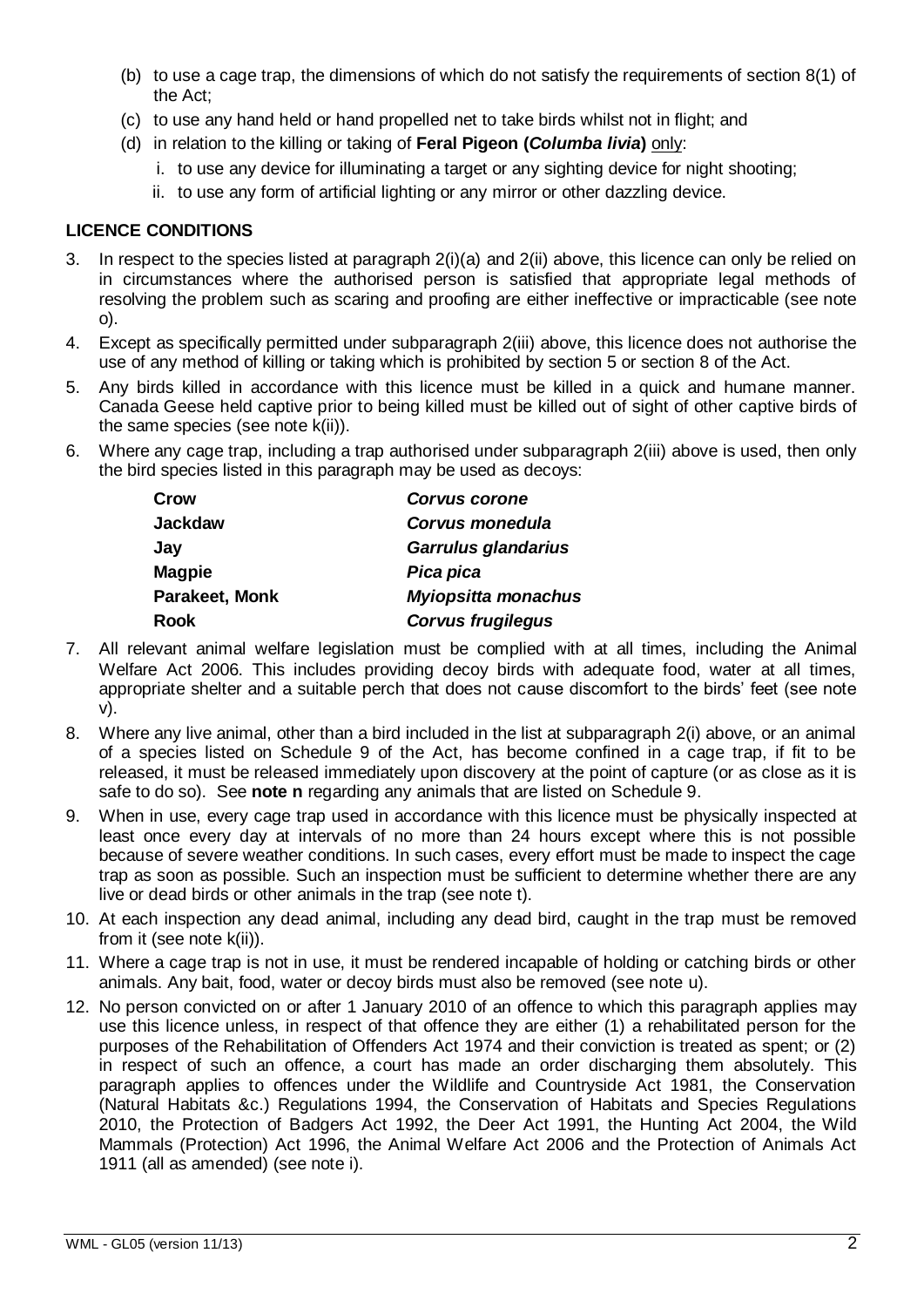- (b) to use a cage trap, the dimensions of which do not satisfy the requirements of section 8(1) of the Act;
- (c) to use any hand held or hand propelled net to take birds whilst not in flight; and
- (d) in relation to the killing or taking of **Feral Pigeon (***Columba livia***)** only:
	- i. to use any device for illuminating a target or any sighting device for night shooting;
	- ii. to use any form of artificial lighting or any mirror or other dazzling device.

#### **LICENCE CONDITIONS**

- 3. In respect to the species listed at paragraph 2(i)(a) and 2(ii) above, this licence can only be relied on in circumstances where the authorised person is satisfied that appropriate legal methods of resolving the problem such as scaring and proofing are either ineffective or impracticable (see note o).
- 4. Except as specifically permitted under subparagraph 2(iii) above, this licence does not authorise the use of any method of killing or taking which is prohibited by section 5 or section 8 of the Act.
- 5. Any birds killed in accordance with this licence must be killed in a quick and humane manner. Canada Geese held captive prior to being killed must be killed out of sight of other captive birds of the same species (see note k(ii)).
- 6. Where any cage trap, including a trap authorised under subparagraph 2(iii) above is used, then only the bird species listed in this paragraph may be used as decoys:

| Crow           | <b>Corvus corone</b>       |
|----------------|----------------------------|
| Jackdaw        | Corvus monedula            |
| Jay            | Garrulus glandarius        |
| <b>Magpie</b>  | Pica pica                  |
| Parakeet, Monk | <b>Myiopsitta monachus</b> |
| Rook           | <b>Corvus frugilegus</b>   |
|                |                            |

- 7. All relevant animal welfare legislation must be complied with at all times, including the Animal Welfare Act 2006. This includes providing decoy birds with adequate food, water at all times, appropriate shelter and a suitable perch that does not cause discomfort to the birds" feet (see note v).
- 8. Where any live animal, other than a bird included in the list at subparagraph 2(i) above, or an animal of a species listed on Schedule 9 of the Act, has become confined in a cage trap, if fit to be released, it must be released immediately upon discovery at the point of capture (or as close as it is safe to do so). See **note n** regarding any animals that are listed on Schedule 9.
- 9. When in use, every cage trap used in accordance with this licence must be physically inspected at least once every day at intervals of no more than 24 hours except where this is not possible because of severe weather conditions. In such cases, every effort must be made to inspect the cage trap as soon as possible. Such an inspection must be sufficient to determine whether there are any live or dead birds or other animals in the trap (see note t).
- 10. At each inspection any dead animal, including any dead bird, caught in the trap must be removed from it (see note k(ii)).
- 11. Where a cage trap is not in use, it must be rendered incapable of holding or catching birds or other animals. Any bait, food, water or decoy birds must also be removed (see note u).
- 12. No person convicted on or after 1 January 2010 of an offence to which this paragraph applies may use this licence unless, in respect of that offence they are either (1) a rehabilitated person for the purposes of the Rehabilitation of Offenders Act 1974 and their conviction is treated as spent; or (2) in respect of such an offence, a court has made an order discharging them absolutely. This paragraph applies to offences under the Wildlife and Countryside Act 1981, the Conservation (Natural Habitats &c.) Regulations 1994, the Conservation of Habitats and Species Regulations 2010, the Protection of Badgers Act 1992, the Deer Act 1991, the Hunting Act 2004, the Wild Mammals (Protection) Act 1996, the Animal Welfare Act 2006 and the Protection of Animals Act 1911 (all as amended) (see note i).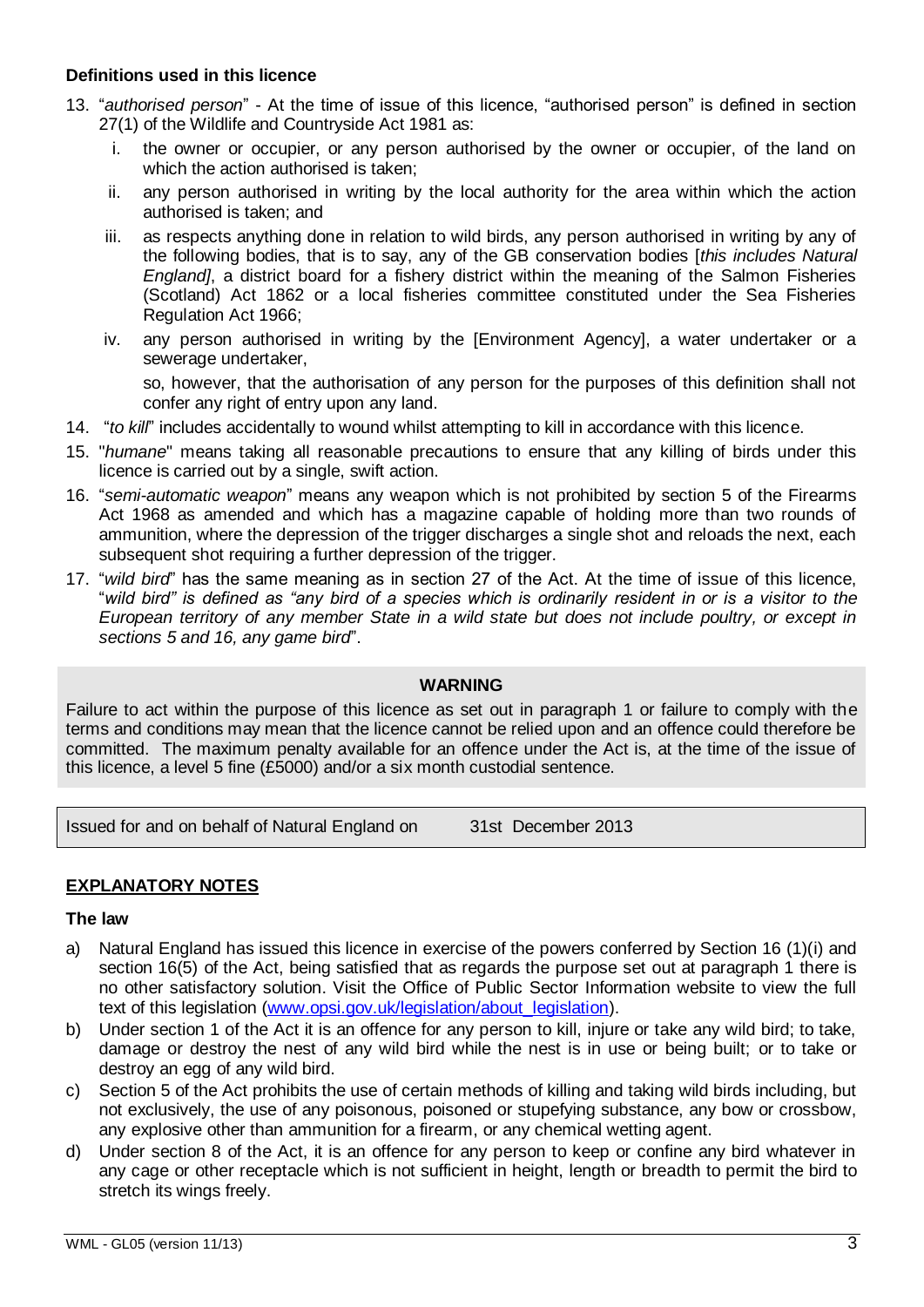#### **Definitions used in this licence**

- 13. "*authorised person*" At the time of issue of this licence, "authorised person" is defined in section 27(1) of the Wildlife and Countryside Act 1981 as:
	- i. the owner or occupier, or any person authorised by the owner or occupier, of the land on which the action authorised is taken;
	- ii. any person authorised in writing by the local authority for the area within which the action authorised is taken; and
	- iii. as respects anything done in relation to wild birds, any person authorised in writing by any of the following bodies, that is to say, any of the GB conservation bodies [*this includes Natural England]*, a district board for a fishery district within the meaning of the Salmon Fisheries (Scotland) Act 1862 or a local fisheries committee constituted under the Sea Fisheries Regulation Act 1966;
	- iv. any person authorised in writing by the [Environment Agency], a water undertaker or a sewerage undertaker,

so, however, that the authorisation of any person for the purposes of this definition shall not confer any right of entry upon any land.

- 14. "*to kill*" includes accidentally to wound whilst attempting to kill in accordance with this licence.
- 15. "*humane*" means taking all reasonable precautions to ensure that any killing of birds under this licence is carried out by a single, swift action.
- 16. "*semi-automatic weapon*" means any weapon which is not prohibited by section 5 of the Firearms Act 1968 as amended and which has a magazine capable of holding more than two rounds of ammunition, where the depression of the trigger discharges a single shot and reloads the next, each subsequent shot requiring a further depression of the trigger.
- 17. "*wild bird*" has the same meaning as in section 27 of the Act. At the time of issue of this licence, "*wild bird" is defined as "any bird of a species which is ordinarily resident in or is a visitor to the European territory of any member State in a wild state but does not include poultry, or except in sections 5 and 16, any game bird*".

#### **WARNING**

Failure to act within the purpose of this licence as set out in paragraph 1 or failure to comply with the terms and conditions may mean that the licence cannot be relied upon and an offence could therefore be committed. The maximum penalty available for an offence under the Act is, at the time of the issue of this licence, a level 5 fine (£5000) and/or a six month custodial sentence.

Issued for and on behalf of Natural England on 31st December 2013

#### **EXPLANATORY NOTES**

#### **The law**

- a) Natural England has issued this licence in exercise of the powers conferred by Section 16 (1)(i) and section 16(5) of the Act, being satisfied that as regards the purpose set out at paragraph 1 there is no other satisfactory solution. Visit the Office of Public Sector Information website to view the full text of this legislation [\(www.opsi.gov.uk/legislation/about\\_legislation\)](http://www.opsi.gov.uk/legislation/about_legislation).
- b) Under section 1 of the Act it is an offence for any person to kill, injure or take any wild bird; to take, damage or destroy the nest of any wild bird while the nest is in use or being built; or to take or destroy an egg of any wild bird.
- c) Section 5 of the Act prohibits the use of certain methods of killing and taking wild birds including, but not exclusively, the use of any poisonous, poisoned or stupefying substance, any bow or crossbow, any explosive other than ammunition for a firearm, or any chemical wetting agent.
- d) Under section 8 of the Act, it is an offence for any person to keep or confine any bird whatever in any cage or other receptacle which is not sufficient in height, length or breadth to permit the bird to stretch its wings freely.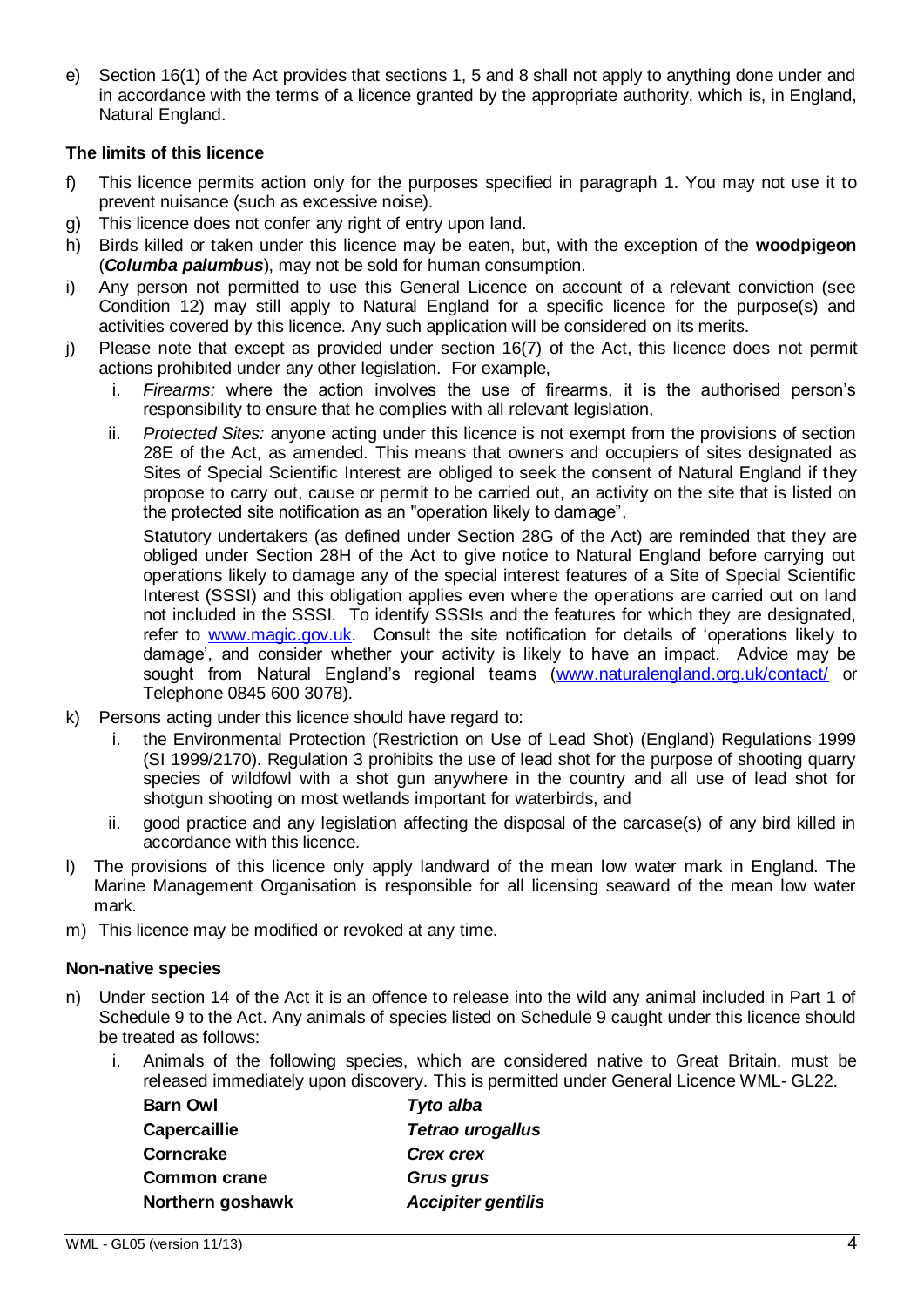e) Section 16(1) of the Act provides that sections 1, 5 and 8 shall not apply to anything done under and in accordance with the terms of a licence granted by the appropriate authority, which is, in England, Natural England.

#### **The limits of this licence**

- f) This licence permits action only for the purposes specified in paragraph 1. You may not use it to prevent nuisance (such as excessive noise).
- g) This licence does not confer any right of entry upon land.
- h) Birds killed or taken under this licence may be eaten, but, with the exception of the **woodpigeon** (*Columba palumbus*), may not be sold for human consumption.
- i) Any person not permitted to use this General Licence on account of a relevant conviction (see Condition 12) may still apply to Natural England for a specific licence for the purpose(s) and activities covered by this licence. Any such application will be considered on its merits.
- j) Please note that except as provided under section 16(7) of the Act, this licence does not permit actions prohibited under any other legislation. For example,
	- i. *Firearms:* where the action involves the use of firearms, it is the authorised person"s responsibility to ensure that he complies with all relevant legislation,
	- ii. *Protected Sites:* anyone acting under this licence is not exempt from the provisions of section 28E of the Act, as amended. This means that owners and occupiers of sites designated as Sites of Special Scientific Interest are obliged to seek the consent of Natural England if they propose to carry out, cause or permit to be carried out, an activity on the site that is listed on the protected site notification as an "operation likely to damage",

Statutory undertakers (as defined under Section 28G of the Act) are reminded that they are obliged under Section 28H of the Act to give notice to Natural England before carrying out operations likely to damage any of the special interest features of a Site of Special Scientific Interest (SSSI) and this obligation applies even where the operations are carried out on land not included in the SSSI. To identify SSSIs and the features for which they are designated, refer to [www.magic.gov.uk.](http://www.magic.gov.uk/) Consult the site notification for details of 'operations likely to damage", and consider whether your activity is likely to have an impact. Advice may be sought from Natural England's regional teams [\(www.naturalengland.org.uk/contact/](http://www.naturalengland.org.uk/contact/) or Telephone 0845 600 3078).

- k) Persons acting under this licence should have regard to:
	- i. the Environmental Protection (Restriction on Use of Lead Shot) (England) Regulations 1999 (SI 1999/2170). Regulation 3 prohibits the use of lead shot for the purpose of shooting quarry species of wildfowl with a shot gun anywhere in the country and all use of lead shot for shotgun shooting on most wetlands important for waterbirds, and
	- ii. good practice and any legislation affecting the disposal of the carcase(s) of any bird killed in accordance with this licence.
- l) The provisions of this licence only apply landward of the mean low water mark in England. The Marine Management Organisation is responsible for all licensing seaward of the mean low water mark.
- m) This licence may be modified or revoked at any time.

#### **Non-native species**

- n) Under section 14 of the Act it is an offence to release into the wild any animal included in Part 1 of Schedule 9 to the Act. Any animals of species listed on Schedule 9 caught under this licence should be treated as follows:
	- i. Animals of the following species, which are considered native to Great Britain, must be released immediately upon discovery. This is permitted under General Licence WML- GL22.

| <b>Barn Owl</b>     | Tyto alba                 |
|---------------------|---------------------------|
| <b>Capercaillie</b> | Tetrao urogallus          |
| Corncrake           | <b>Crex crex</b>          |
| <b>Common crane</b> | <b>Grus grus</b>          |
| Northern goshawk    | <b>Accipiter gentilis</b> |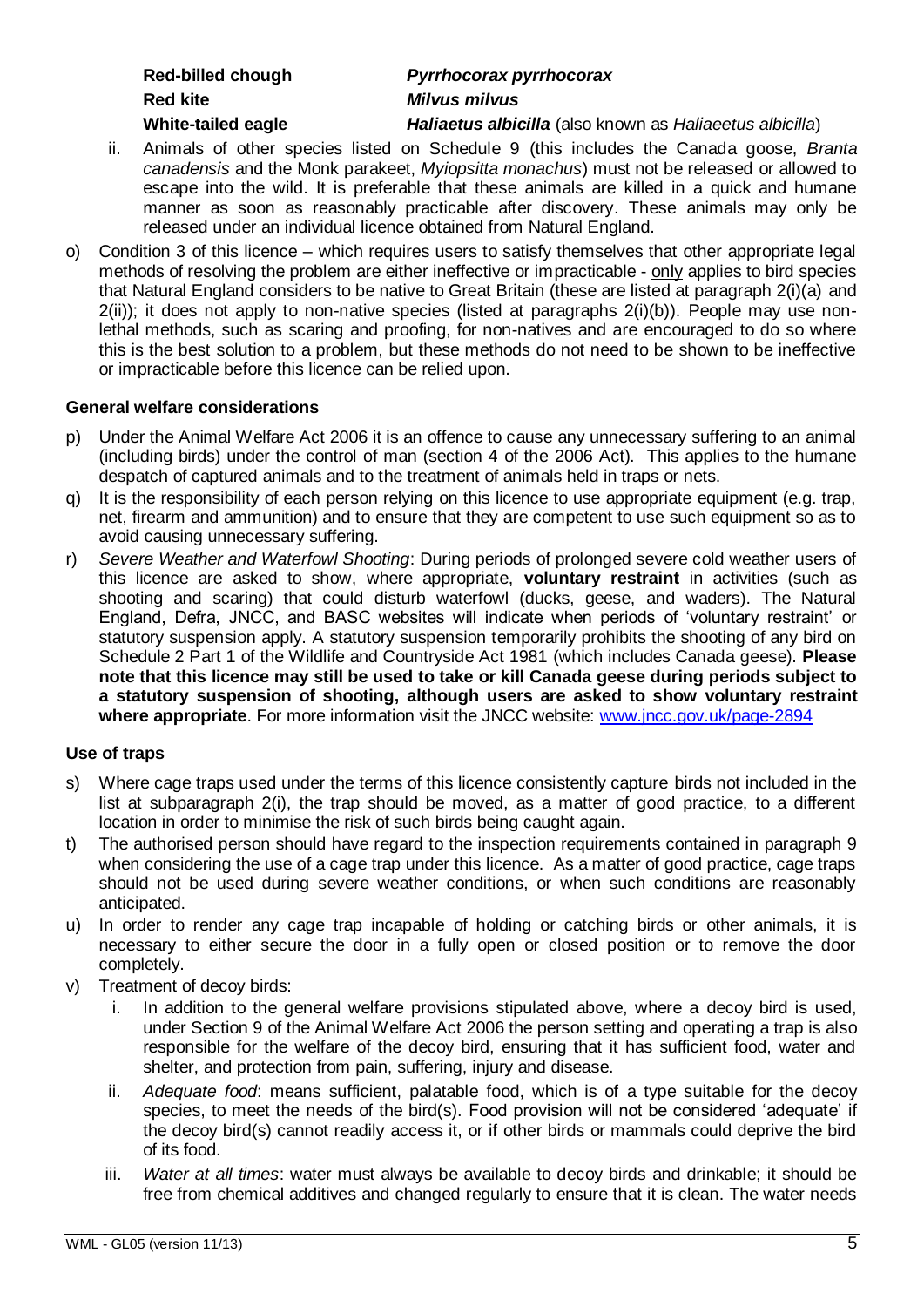| Red-billed chough  |  |  |
|--------------------|--|--|
| <b>Red kite</b>    |  |  |
| alnca halict-atidW |  |  |

### **Red-billed chough** *Pyrrhocorax pyrrhocorax* **Red kite** *Milvus milvus*

**White-tailed eagle** *Haliaetus albicilla* (also known as *Haliaeetus albicilla*)

- ii. Animals of other species listed on Schedule 9 (this includes the Canada goose, *Branta canadensis* and the Monk parakeet, *Myiopsitta monachus*) must not be released or allowed to escape into the wild. It is preferable that these animals are killed in a quick and humane manner as soon as reasonably practicable after discovery. These animals may only be released under an individual licence obtained from Natural England.
- o) Condition 3 of this licence which requires users to satisfy themselves that other appropriate legal methods of resolving the problem are either ineffective or impracticable - only applies to bird species that Natural England considers to be native to Great Britain (these are listed at paragraph 2(i)(a) and  $2(ii)$ ; it does not apply to non-native species (listed at paragraphs  $2(i)(b)$ ). People may use nonlethal methods, such as scaring and proofing, for non-natives and are encouraged to do so where this is the best solution to a problem, but these methods do not need to be shown to be ineffective or impracticable before this licence can be relied upon.

#### **General welfare considerations**

- p) Under the Animal Welfare Act 2006 it is an offence to cause any unnecessary suffering to an animal (including birds) under the control of man (section 4 of the 2006 Act). This applies to the humane despatch of captured animals and to the treatment of animals held in traps or nets.
- q) It is the responsibility of each person relying on this licence to use appropriate equipment (e.g. trap, net, firearm and ammunition) and to ensure that they are competent to use such equipment so as to avoid causing unnecessary suffering.
- r) *Severe Weather and Waterfowl Shooting*: During periods of prolonged severe cold weather users of this licence are asked to show, where appropriate, **voluntary restraint** in activities (such as shooting and scaring) that could disturb waterfowl (ducks, geese, and waders). The Natural England, Defra, JNCC, and BASC websites will indicate when periods of "voluntary restraint" or statutory suspension apply. A statutory suspension temporarily prohibits the shooting of any bird on Schedule 2 Part 1 of the Wildlife and Countryside Act 1981 (which includes Canada geese). **Please note that this licence may still be used to take or kill Canada geese during periods subject to a statutory suspension of shooting, although users are asked to show voluntary restraint where appropriate**. For more information visit the JNCC website: [www.jncc.gov.uk/page-2894](http://www.jncc.gov.uk/page-2894)

#### **Use of traps**

- s) Where cage traps used under the terms of this licence consistently capture birds not included in the list at subparagraph 2(i), the trap should be moved, as a matter of good practice, to a different location in order to minimise the risk of such birds being caught again.
- t) The authorised person should have regard to the inspection requirements contained in paragraph 9 when considering the use of a cage trap under this licence. As a matter of good practice, cage traps should not be used during severe weather conditions, or when such conditions are reasonably anticipated.
- u) In order to render any cage trap incapable of holding or catching birds or other animals, it is necessary to either secure the door in a fully open or closed position or to remove the door completely.
- v) Treatment of decoy birds:
	- i. In addition to the general welfare provisions stipulated above, where a decoy bird is used, under Section 9 of the Animal Welfare Act 2006 the person setting and operating a trap is also responsible for the welfare of the decoy bird, ensuring that it has sufficient food, water and shelter, and protection from pain, suffering, injury and disease.
	- ii. *Adequate food*: means sufficient, palatable food, which is of a type suitable for the decoy species, to meet the needs of the bird(s). Food provision will not be considered "adequate" if the decoy bird(s) cannot readily access it, or if other birds or mammals could deprive the bird of its food.
	- iii. *Water at all times*: water must always be available to decoy birds and drinkable; it should be free from chemical additives and changed regularly to ensure that it is clean. The water needs